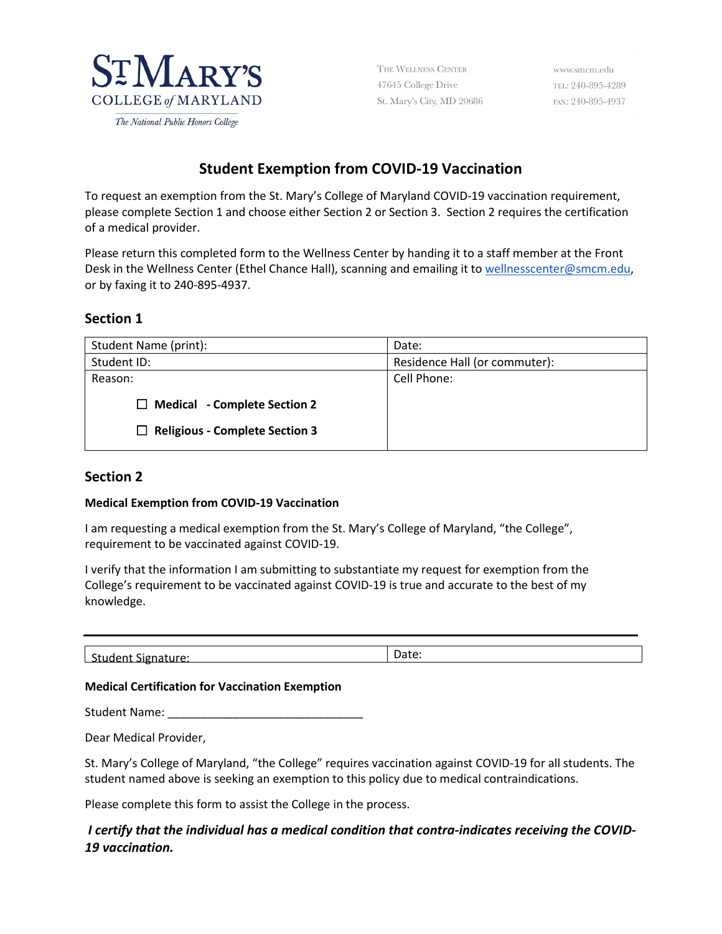

THE WELLNESS CENTER 47645 College Drive St. Mary's City, MD 20686

www.smcm.edu TEL: 240-895-4289 FAX: 240-895-4937

# **Student Exemption from COVID-19 Vaccination**

To request an exemption from the St. Mary's College of Maryland COVID-19 vaccination requirement, please complete Section 1 and choose either Section 2 or Section 3. Section 2 requires the certification of a medical provider.

Please return this completed form to the Wellness Center by handing it to a staff member at the Front Desk in the Wellness Center (Ethel Chance Hall), scanning and emailing it to [wellnesscenter@smcm.edu,](mailto:wellnesscenter@smcm.edu) or by faxing it to 240-895-4937.

# **Section 1**

| Student Name (print):                                                        | Date:                         |
|------------------------------------------------------------------------------|-------------------------------|
| Student ID:                                                                  | Residence Hall (or commuter): |
| Reason:                                                                      | Cell Phone:                   |
| $\Box$ Medical - Complete Section 2<br>$\Box$ Religious - Complete Section 3 |                               |

### **Section 2**

#### **Medical Exemption from COVID-19 Vaccination**

I am requesting a medical exemption from the St. Mary's College of Maryland, "the College", requirement to be vaccinated against COVID-19.

I verify that the information I am submitting to substantiate my request for exemption from the College's requirement to be vaccinated against COVID-19 is true and accurate to the best of my knowledge.

| $\sim$<br>$\sim$<br>: Signature:<br>Student | Date. |
|---------------------------------------------|-------|
|                                             |       |

#### **Medical Certification for Vaccination Exemption**

Student Name: \_\_\_\_\_\_\_\_\_\_\_\_\_\_\_\_\_\_\_\_\_\_\_\_\_\_\_\_\_\_

Dear Medical Provider,

St. Mary's College of Maryland, "the College" requires vaccination against COVID-19 for all students. The student named above is seeking an exemption to this policy due to medical contraindications.

Please complete this form to assist the College in the process.

# *I certify that the individual has a medical condition that contra-indicates receiving the COVID-19 vaccination.*